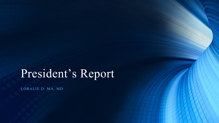# President's Report

LORALIE D. MA, MD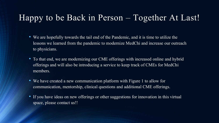### Happy to be Back in Person – Together At Last!

- We are hopefully towards the tail end of the Pandemic, and it is time to utilize the lessons we learned from the pandemic to modernize MedChi and increase our outreach to physicians.
- To that end, we are modernizing our CME offerings with increased online and hybrid offerings and will also be introducing a service to keep track of CMEs for MedChi members.
- We have created a new communication platform with Figure 1 to allow for communication, mentorship, clinical questions and additional CME offerings.
- If you have ideas on new offerings or other suggestions for innovation in this virtual space, please contact us!!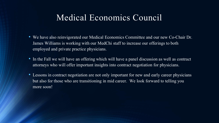### Medical Economics Council

- We have also reinvigorated our Medical Economics Committee and our new Co-Chair Dr. James Williams is working with our MedChi staff to increase our offerings to both employed and private practice physicians.
- In the Fall we will have an offering which will have a panel discussion as well as contract attorneys who will offer important insights into contract negotiation for physicians.
- Lessons in contract negotiation are not only important for new and early career physicians but also for those who are transitioning in mid career. We look forward to telling you more soon!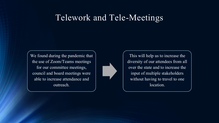### Telework and Tele-Meetings

We found during the pandemic that the use of Zoom/Teams meetings for our committee meetings, council and board meetings were able to increase attendance and outreach.



This will help us to increase the diversity of our attendees from all over the state and to increase the input of multiple stakeholders without having to travel to one location.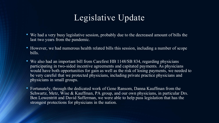### Legislative Update

- We had a very busy legislative session, probably due to the decreased amount of bills the last two years from the pandemic.
- However, we had numerous health related bills this session, including a number of scope bills.
- We also had an important bill from Carefirst HB 1148/SB 834, regarding physicians participating in two-sided incentive agreements and capitated payments. As physicians would have both opportunities for gain as well as the risk of losing payments, we needed to be very careful that we protected physicians, including private practice physicians and physicians in small groups.
- Fortunately, through the dedicated work of Gene Ransom, Danna Kauffman from the Schwartz, Metz, Wise & Kauffman, PA group, and our own physicians, in particular Drs. Ben Lowentritt and David Safferman, we were able to help pass legislation that has the strongest protections for physicians in the nation.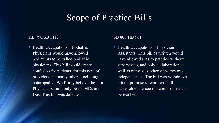### Scope of Practice Bills

#### HB 790/SB 311:

• Health Occupations – Podiatric Physicians would have allowed podiatrists to be called podiatric physicians. This bill would create confusion for patients, for this type of providers and many others, including naturopaths. We firmly believe the term Physician should only be for MDs and Dos. This bill was defeated.

#### SB 808/HB 961:

• Health Occupations – Physician Assistants. This bill as written would have allowed PAs to practice without supervision, and only collaboration as well as numerous other steps towards independence. The bill was withdrawn after a promise to work with all stakeholders to see if a compromise can be reached.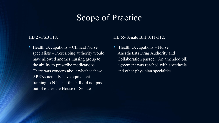### Scope of Practice

#### HB 276/SB 518:

• Health Occupations – Clinical Nurse specialists – Prescribing authority would have allowed another nursing group to the ability to prescribe medications. There was concern about whether these APRNs actually have equivalent training to NPs and this bill did not pass out of either the House or Senate.

#### HB 55/Senate Bill 1011-312:

• Health Occupations – Nurse Anesthetists Drug Authority and Collaboration passed. An amended bill agreement was reached with anesthesia and other physician specialties.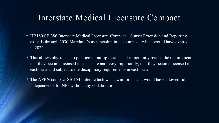### Interstate Medical Licensure Compact

- HB180/SB 386 Interstate Medical Licensure Compact Sunset Extension and Reporting extends through 2030 Maryland's membership in the compact, which would have expired in 2022.
- This allows physicians to practice in multiple states but importantly retains the requirement that they become licensed in each state and, very importantly, that they become licensed in each state and subject to the disciplinary requirements in each state.
- The APRN compact SB 154 failed, which was a win for us as it would have allowed full independence for NPs without any collaboration.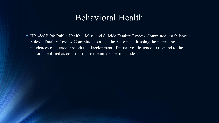### Behavioral Health

• HB 48/SB 94: Public Health – Maryland Suicide Fatality Review Committee, establishes a Suicide Fatality Review Committee to assist the State in addressing the increasing incidences of suicide through the development of initiatives designed to respond to the factors identified as contributing to the incidence of suicide.